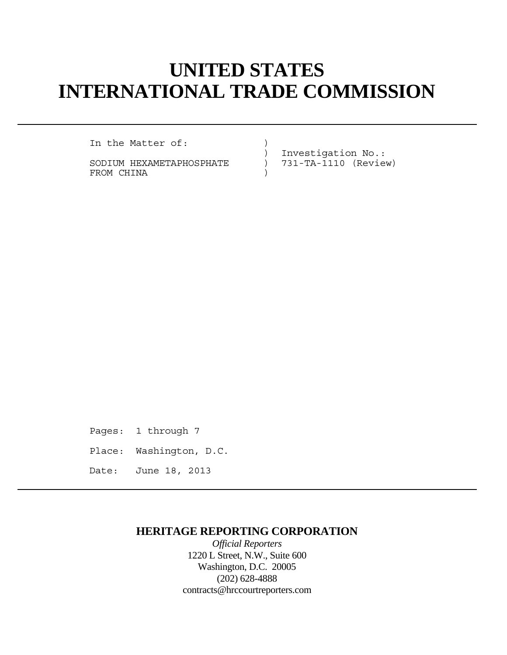# **UNITED STATES INTERNATIONAL TRADE COMMISSION**

In the Matter of: (1)

SODIUM HEXAMETAPHOSPHATE ) 731-TA-1110 (Review) FROM CHINA  $)$ 

) Investigation No.:

Pages: 1 through 7 Place: Washington, D.C. Date: June 18, 2013

## **HERITAGE REPORTING CORPORATION**

*Official Reporters* 1220 L Street, N.W., Suite 600 Washington, D.C. 20005 (202) 628-4888 contracts@hrccourtreporters.com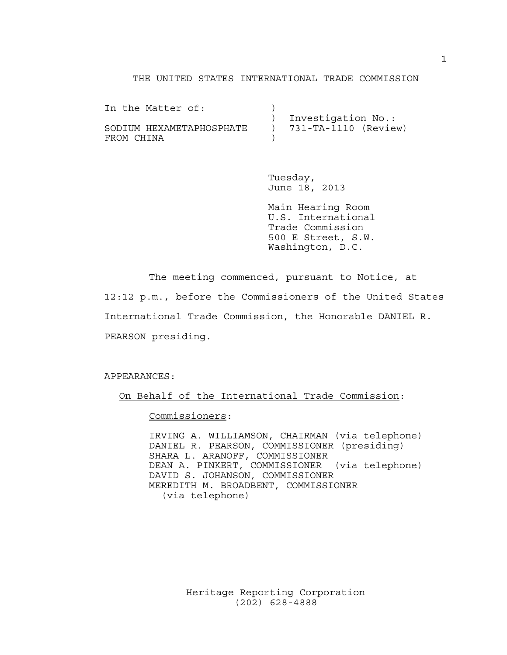### THE UNITED STATES INTERNATIONAL TRADE COMMISSION

| In the Matter of:        |                          |
|--------------------------|--------------------------|
|                          | Investigation No.:       |
| SODIUM HEXAMETAPHOSPHATE | $) 731-TA-1110 (Review)$ |
| FROM CHINA               |                          |

 Tuesday, June 18, 2013

 Main Hearing Room U.S. International Trade Commission 500 E Street, S.W. Washington, D.C.

 The meeting commenced, pursuant to Notice, at 12:12 p.m., before the Commissioners of the United States International Trade Commission, the Honorable DANIEL R. PEARSON presiding.

APPEARANCES:

On Behalf of the International Trade Commission:

Commissioners:

 IRVING A. WILLIAMSON, CHAIRMAN (via telephone) DANIEL R. PEARSON, COMMISSIONER (presiding) SHARA L. ARANOFF, COMMISSIONER DEAN A. PINKERT, COMMISSIONER (via telephone) DAVID S. JOHANSON, COMMISSIONER MEREDITH M. BROADBENT, COMMISSIONER (via telephone)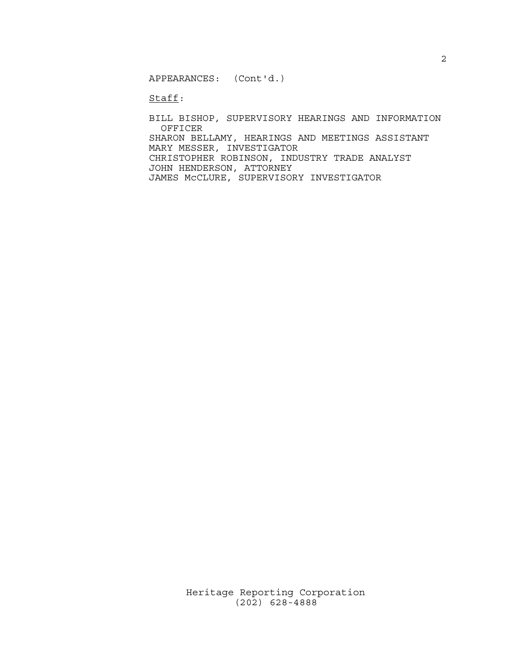APPEARANCES: (Cont'd.)

Staff:

 BILL BISHOP, SUPERVISORY HEARINGS AND INFORMATION OFFICER SHARON BELLAMY, HEARINGS AND MEETINGS ASSISTANT MARY MESSER, INVESTIGATOR CHRISTOPHER ROBINSON, INDUSTRY TRADE ANALYST JOHN HENDERSON, ATTORNEY JAMES McCLURE, SUPERVISORY INVESTIGATOR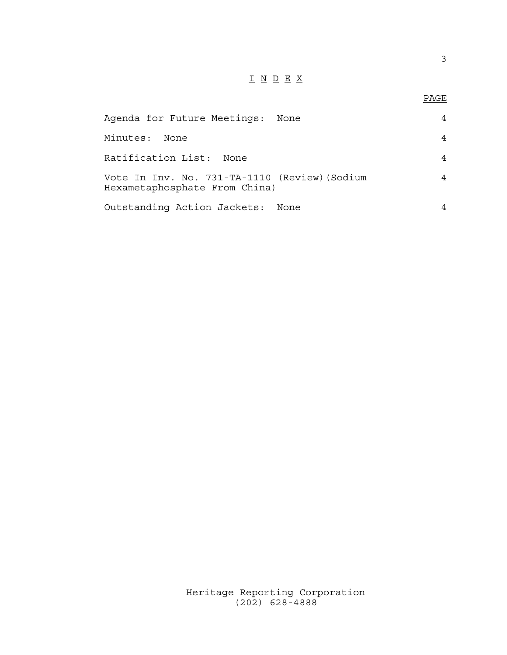## I N D E X

## en de la provincia de la provincia de la provincia de la provincia de la provincia de la provincia de la provi<br>Para la provincia de la provincia de la provincia de la provincia de la provincia de la provincia de la provin

| Agenda for Future Meetings:                                                    | None |   |
|--------------------------------------------------------------------------------|------|---|
| Minutes:<br>None                                                               |      |   |
| Ratification List: None                                                        |      |   |
| Vote In Inv. No. 731-TA-1110 (Review) (Sodium<br>Hexametaphosphate From China) |      | 4 |
| Outstanding Action Jackets: None                                               |      |   |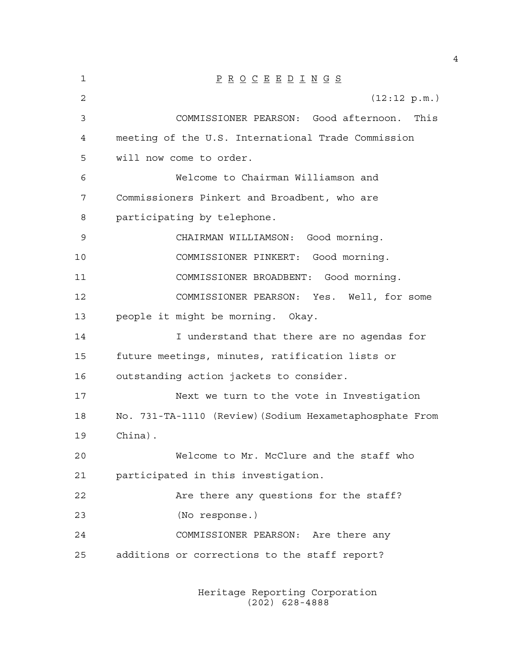| 1  | $\underline{P} \underline{R} \underline{O} \underline{C} \underline{E} \underline{E} \underline{D} \underline{I} \underline{N} \underline{G} \underline{S}$ |
|----|-------------------------------------------------------------------------------------------------------------------------------------------------------------|
| 2  | (12:12 p.m.)                                                                                                                                                |
| 3  | COMMISSIONER PEARSON: Good afternoon.<br>This                                                                                                               |
| 4  | meeting of the U.S. International Trade Commission                                                                                                          |
| 5  | will now come to order.                                                                                                                                     |
| 6  | Welcome to Chairman Williamson and                                                                                                                          |
| 7  | Commissioners Pinkert and Broadbent, who are                                                                                                                |
| 8  | participating by telephone.                                                                                                                                 |
| 9  | CHAIRMAN WILLIAMSON: Good morning.                                                                                                                          |
| 10 | COMMISSIONER PINKERT: Good morning.                                                                                                                         |
| 11 | COMMISSIONER BROADBENT: Good morning.                                                                                                                       |
| 12 | COMMISSIONER PEARSON: Yes. Well, for some                                                                                                                   |
| 13 | people it might be morning. Okay.                                                                                                                           |
| 14 | I understand that there are no agendas for                                                                                                                  |
| 15 | future meetings, minutes, ratification lists or                                                                                                             |
| 16 | outstanding action jackets to consider.                                                                                                                     |
| 17 | Next we turn to the vote in Investigation                                                                                                                   |
| 18 | No. 731-TA-1110 (Review) (Sodium Hexametaphosphate From                                                                                                     |
| 19 | China).                                                                                                                                                     |
| 20 | Welcome to Mr. McClure and the staff who                                                                                                                    |
| 21 | participated in this investigation.                                                                                                                         |
| 22 | Are there any questions for the staff?                                                                                                                      |
| 23 | (No response.)                                                                                                                                              |
| 24 | COMMISSIONER PEARSON: Are there any                                                                                                                         |
| 25 | additions or corrections to the staff report?                                                                                                               |
|    |                                                                                                                                                             |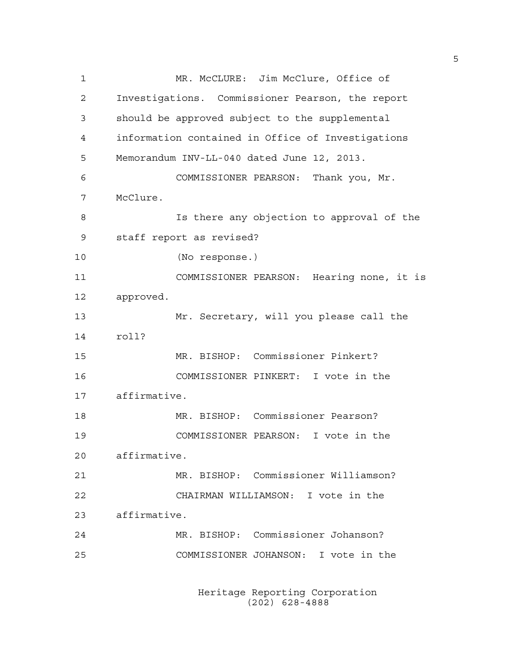1 MR. McCLURE: Jim McClure, Office of 2 Investigations. Commissioner Pearson, the report 3 should be approved subject to the supplemental 4 information contained in Office of Investigations 5 Memorandum INV-LL-040 dated June 12, 2013. 6 COMMISSIONER PEARSON: Thank you, Mr. 7 McClure. 8 Is there any objection to approval of the 9 staff report as revised? 10 (No response.) 11 COMMISSIONER PEARSON: Hearing none, it is 12 approved. 13 Mr. Secretary, will you please call the 14 roll? 15 MR. BISHOP: Commissioner Pinkert? 16 COMMISSIONER PINKERT: I vote in the 17 affirmative. 18 MR. BISHOP: Commissioner Pearson? 19 COMMISSIONER PEARSON: I vote in the 20 affirmative. 21 MR. BISHOP: Commissioner Williamson? 22 CHAIRMAN WILLIAMSON: I vote in the 23 affirmative. 24 MR. BISHOP: Commissioner Johanson? 25 COMMISSIONER JOHANSON: I vote in the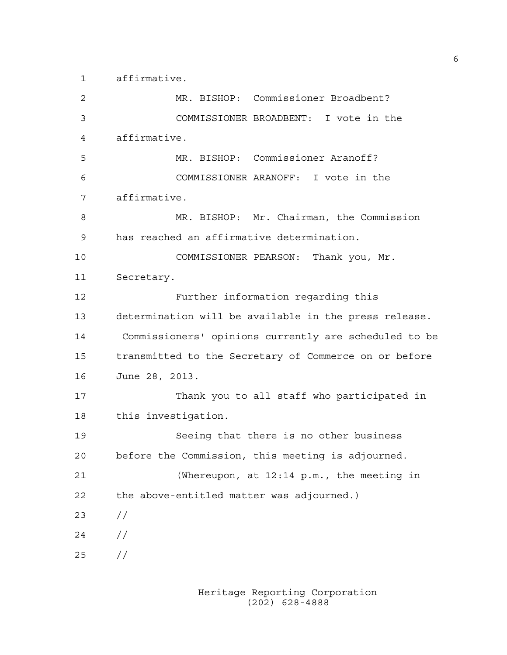1 affirmative.

2 MR. BISHOP: Commissioner Broadbent? 3 COMMISSIONER BROADBENT: I vote in the 4 affirmative. 5 MR. BISHOP: Commissioner Aranoff? 6 COMMISSIONER ARANOFF: I vote in the 7 affirmative. 8 MR. BISHOP: Mr. Chairman, the Commission 9 has reached an affirmative determination. 10 COMMISSIONER PEARSON: Thank you, Mr. 11 Secretary. 12 Further information regarding this 13 determination will be available in the press release. 14 Commissioners' opinions currently are scheduled to be 15 transmitted to the Secretary of Commerce on or before 16 June 28, 2013. 17 Thank you to all staff who participated in 18 this investigation. 19 Seeing that there is no other business 20 before the Commission, this meeting is adjourned. 21 (Whereupon, at 12:14 p.m., the meeting in 22 the above-entitled matter was adjourned.) 23 //  $24 /$ 25 //